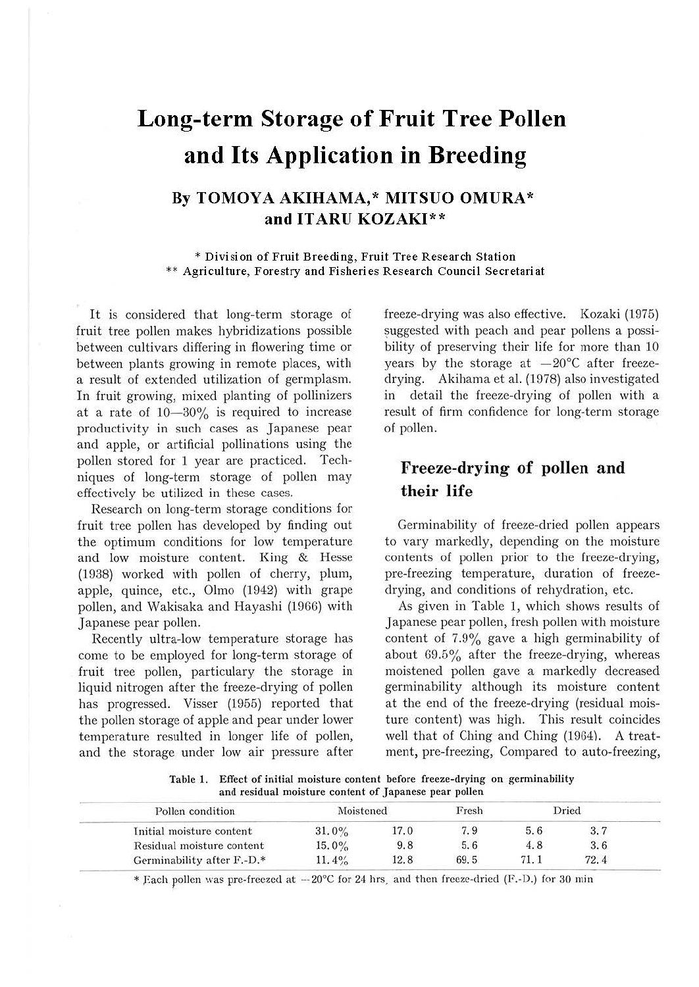# **Long-term Storage of Fruit Tree Pollen and Its Application in Breeding**

#### **By TOMOYAAKIHAMA,\* MITSUO OMURA\* and ITARU KOZAKI\*\***

\* **Division of Fruit Breeding, Fruit Tree Research Station**  \*\* **Agriculture, Forestry and Fisheries Research Council Secretariat** 

It is considered that long-term storage of fruit tree pollen makes hybridizations possible between cultivars differing in flowering time or between plants growing in remote places, with a result of extended utilization of gennplasm. In fruit growing, mixed planting of pollinizers at a rate of  $10-30\%$  is required to increase productivity in such cases as Japanese pear and apple, or artificial pollinations using the pollen stored for 1 year are practiced. Techniques of long-term storage of pollen may effectively be utilized in these cases.

Research on long-term storage conditions for fruit tree pollen has developed by finding out the optimum conditions for low temperature and low moisture content. King & Hesse (1938) worked with pollen of cherry, plum, apple, quince, etc., Olmo (1942) with grape pollen, and Wakisaka and Hayashi (1966) with Japanese pear pollen.

Recently ultra-low temperature storage has come to be employed for long-term storage of fruit tree pollen, particulary the storage in liquid nitrogen after the freeze-drying of pollen has progressed. Visser (1955) reported that the pollen storage of apple and pear under lower temperature resulted in longer life of pollen, and the storage under low air pressure after freeze-drying was also effective. Kozaki (1975) suggested with peach and pear pollens a possibility of preserving their life for more than 10 years by the storage at  $-20^{\circ}$ C after freezedrying. Akihama et al. (1978) also investigated in detail the freeze-drying of pollen with a result of firm confidence for long-term storage of pollen.

## **Freeze-drying of pollen and their life**

Germinability of freeze-dried pollen appears to vary markedly, depending on the moisture contents of pollen prior to the freeze-drying, pre-freezing temperature, duration of freezedrying, and conditions of rehydration, etc.

As given in Table 1, which shows results of Japanese pear pollen, fresh pollen with moisture content of 7.9% gave a high germinability of about 69.5% after the freeze-drying, whereas moistened pollen gave a markedly decreased germinability although its moisture content at the end of the freeze-drying (residual moisture content) was high. This result coincides well that of Ching and Ching (1964). A treatment, pre-freezing, Compared to auto-freezing,

Table I. Effect of initial moisture content before freeze-drying on germinability and residual moisture content of Japanese pear pollen

| Pollen condition           | Moistened |      | Fresh |      | Dried |
|----------------------------|-----------|------|-------|------|-------|
| Initial moisture content   | $31.0\%$  | 17.0 | 7.9   | 5.6  | 3, 7  |
| Residual moisture content  | $15.0\%$  | 9.8  | 5.6   | 4.8  | 3.6   |
| Germinability after F.-D.* | 11.4%     | 12.8 | 69.5  | 71.1 | 72.4  |

\* Each pollen was pre-freezed at  $-20^{\circ}$ C for 24 hrs. and then freeze-dried (F.-D.) for 30 min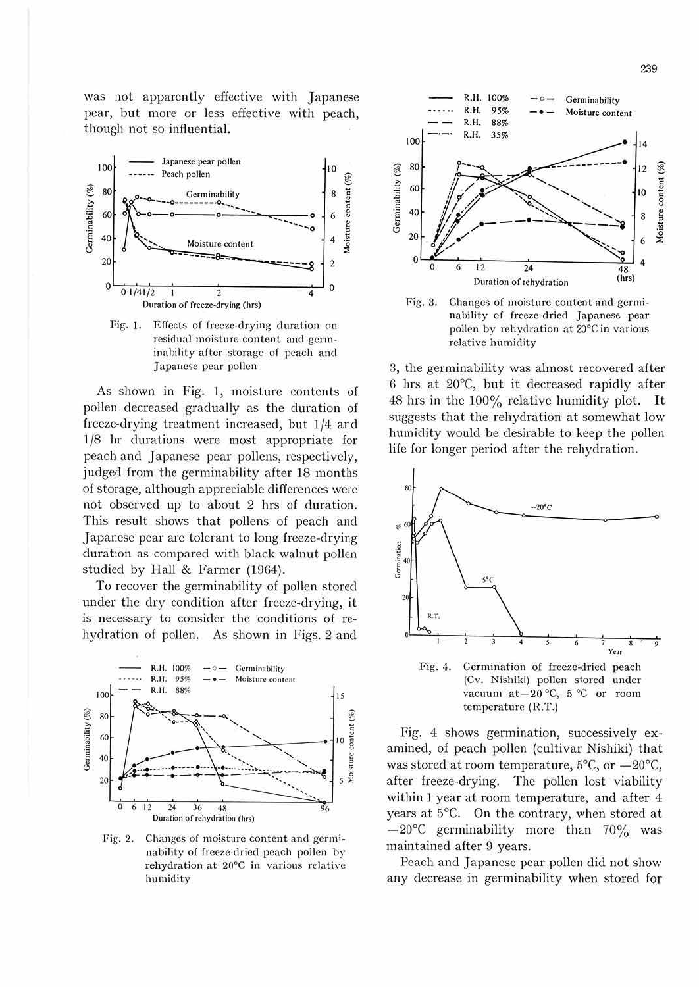was not apparently effective with Japanese pear, but more or less effective with peach, though not so influential.



Fig. 1. Effects of freeze-drying duration on residual moisture content and gcrminability after storage of peach and Japanese pear pollen

As shown in Fig. 1, moisture contents of pollen decreased gradually as the duration of freeze-drying treatment increased, but 1/4 and 1/8 hr durations were most appropriate for peach and Japanese pear pollens, respectively, judged from the germinability after 18 months of storage, although appreciable differences were not observed up to about 2 hrs of duration. This result shows that pollens of peach and Japanese pear are tolerant to long freeze-drying duration as compared with black walnut pollen studied by Hall & Farmer (1964).

To recover the germinability of pollen stored under the dry condition after freeze-drying, it is necessary to consider the conditions of rehydration of pollen. As shown in Figs. 2 and



Fig. 2. Changes of moisture content and gcrminability of freeze-dried peach pollen by rehydration at 20°C in various relative humidity



Fig. 3. Changes of moisture content and germinability of freeze-dried Japanese. pear pollen by rehydration at 20°C in various relative humidity

B, the germinability was almost recovered after G hrs at 20°C, but it decreased rapidly after 48 hrs in the 100% relative humidity plot. It suggests that the rehydration at somewhat low humidity would be desirable to keep the pollen life for longer period after the rehydration.



Fig. 4 shows germination, successively examined, of peach pollen (cultivar Nishiki) that was stored at room temperature,  $5^{\circ}$ C, or  $-20^{\circ}$ C, after freeze-drying. The pollen lost viability within l year at room temperature, and after 4 years at 5°C. On the contrary, when stored at  $-20^{\circ}$ C germinability more than  $70\%$  was maintained after 9 years.

Peach and Japanese pear pollen did not show any decrease in germinability when stored **for**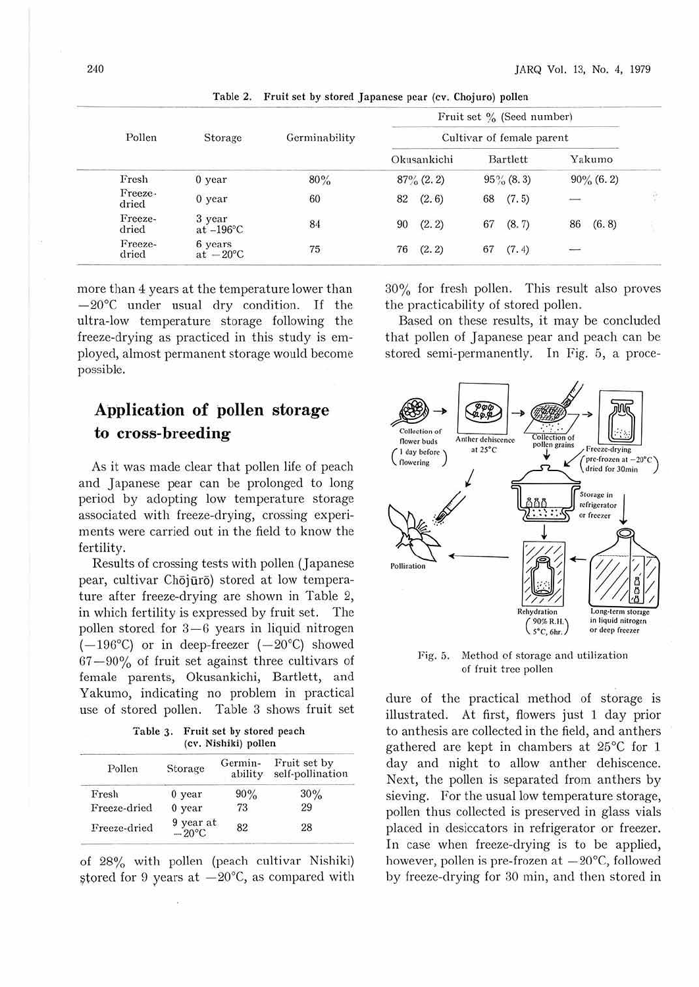|                  |                               |               | Fruit set % (Seed number) |                           |                          |   |
|------------------|-------------------------------|---------------|---------------------------|---------------------------|--------------------------|---|
| Pollen           | Storage                       | Germinability |                           | Cultivar of female parent |                          |   |
|                  |                               |               | Okusankichi               | Bartlett                  | Yakumo                   |   |
| Fresh            | 0 year                        | 80%           | $87\%$ (2.2)              | $95\%$ (8.3)              | $90\%$ (6.2)             |   |
| Freeze-<br>dried | $0$ year                      | 60            | (2.6)<br>82               | (7.5)<br>68               |                          | 합 |
| Freeze-<br>dried | 3 year<br>at $-196$ °C        | 84            | (2.2)<br>90               | (8.7)<br>67               | 86<br>(6.8)              |   |
| Freeze-<br>dried | 6 years<br>at $-20^{\circ}$ C | $75\,$        | 76<br>(2.2)               | (7.4)<br>67               | $\overline{\phantom{m}}$ |   |

Table 2. Fruit set by stored Japanese pear (cy. Chojuro) pollen

more than 4 years at the temperature lower than  $-20^{\circ}$ C under usual dry condition. If the ultra-low temperature storage following the freeze-drying as practiced in this study is employed, almost permanent storage would become possible.

## **Application of pollen storage to cross-breeding**

As it was made clear that pollen life of peach and Japanese pear can be prolonged to long period by adopting low temperature storage associated with freeze-drying, crossing experiments were carried out in the field to know the fertility.

Results of crossing tests with pollen (Japanese pear, cultivar Chōjūrō) stored at low temperature after freeze-drying are shown in Table 2, in which fertility is expressed by fruit set. The pollen stored for 3-6 years in liquid nitrogen  $(-196^{\circ}C)$  or in deep-freezer  $(-20^{\circ}C)$  showed 67- 90% of fruit set against three cultivars of female parents, Okusankichi, Bartlett, and Yakumo, indicating no problem in practical use of stored pollen. Table 3 shows fruit set

Table 3. Fruit set by stored peach (cv. Nishild) pollen

| Pollen                                | Storage  | Germin-<br>ability | Fruit set by<br>self-pollination |  |
|---------------------------------------|----------|--------------------|----------------------------------|--|
| Fresh                                 | $0$ year | 90%                | 30%                              |  |
| Freeze-dried                          | 0 year   | 73                 | 29                               |  |
| $9$ year at<br>-20 °C<br>Freeze-dried |          | 82                 | 28                               |  |

of 28% with pollen (peach cultivar Nishiki) stored for 9 years at  $-20^{\circ}$ C, as compared with 30% for fresh pollen. This result also proves the practicability of stored pollen.

Based on these results, it may be concluded that pollen of Japanese pear and peach can be stored semi-permanently. In Fig. 5, a proce·



Fig. 5. Method of storage and utilization of fruit tree pollen

dure of the practical method of storage is illustrated. At first, flowers just 1 day prior to anthesis are collected in the field, and anthers gathered are kept in chambers at 25°C for 1 day and night to allow anther dehiscence. Next, the pollen is separated from anthers by sieving. For the usual low temperature storage, pollen thus collected is preserved in glass vials placed in desiccators in refrigerator or freezer. In case when freeze-drying is to be applied, however, pollen is pre-frozen at  $-20^{\circ}$ C, followed by freeze-drying for 30 min, and then stored in